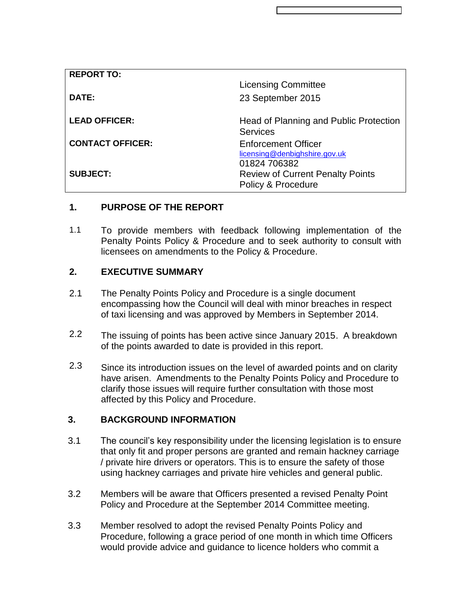| <b>REPORT TO:</b>       | <b>Licensing Committee</b>                                                  |
|-------------------------|-----------------------------------------------------------------------------|
| DATE:                   | 23 September 2015                                                           |
| <b>LEAD OFFICER:</b>    | Head of Planning and Public Protection<br><b>Services</b>                   |
| <b>CONTACT OFFICER:</b> | <b>Enforcement Officer</b><br>licensing@denbighshire.gov.uk<br>01824 706382 |
| <b>SUBJECT:</b>         | <b>Review of Current Penalty Points</b><br>Policy & Procedure               |

# **1. PURPOSE OF THE REPORT**

1.1 To provide members with feedback following implementation of the Penalty Points Policy & Procedure and to seek authority to consult with licensees on amendments to the Policy & Procedure.

## **2. EXECUTIVE SUMMARY**

- 2.1 The Penalty Points Policy and Procedure is a single document encompassing how the Council will deal with minor breaches in respect of taxi licensing and was approved by Members in September 2014.
- 2.2 The issuing of points has been active since January 2015. A breakdown of the points awarded to date is provided in this report.
- 2.3 Since its introduction issues on the level of awarded points and on clarity have arisen. Amendments to the Penalty Points Policy and Procedure to clarify those issues will require further consultation with those most affected by this Policy and Procedure.

### **3. BACKGROUND INFORMATION**

- 3.1 The council's key responsibility under the licensing legislation is to ensure that only fit and proper persons are granted and remain hackney carriage / private hire drivers or operators. This is to ensure the safety of those using hackney carriages and private hire vehicles and general public.
- 3.2 Members will be aware that Officers presented a revised Penalty Point Policy and Procedure at the September 2014 Committee meeting.
- 3.3 Member resolved to adopt the revised Penalty Points Policy and Procedure, following a grace period of one month in which time Officers would provide advice and guidance to licence holders who commit a